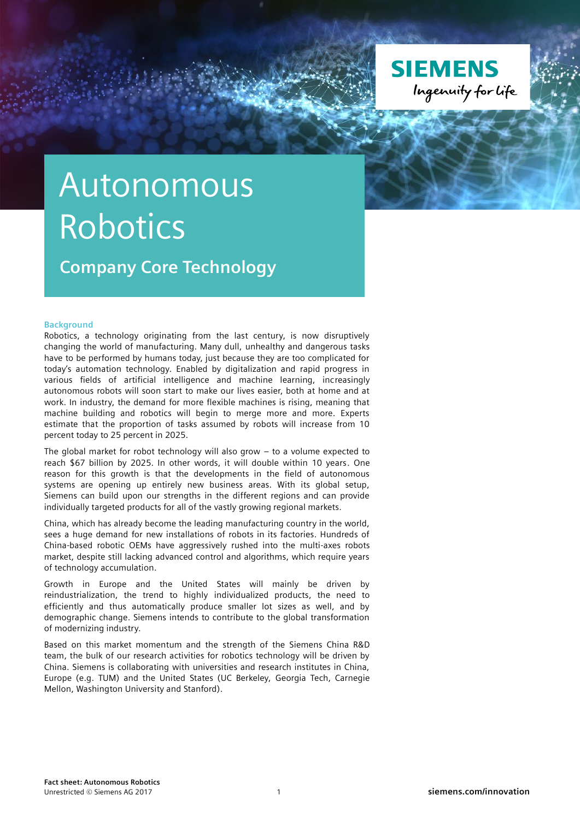

# Autonomous Robotics

**Company Core Technology**

#### **Background**

Robotics, a technology originating from the last century, is now disruptively changing the world of manufacturing. Many dull, unhealthy and dangerous tasks have to be performed by humans today, just because they are too complicated for today's automation technology. Enabled by digitalization and rapid progress in various fields of artificial intelligence and machine learning, increasingly autonomous robots will soon start to make our lives easier, both at home and at work. In industry, the demand for more flexible machines is rising, meaning that machine building and robotics will begin to merge more and more. Experts estimate that the proportion of tasks assumed by robots will increase from 10 percent today to 25 percent in 2025.

The global market for robot technology will also grow – to a volume expected to reach \$67 billion by 2025. In other words, it will double within 10 years. One reason for this growth is that the developments in the field of autonomous systems are opening up entirely new business areas. With its global setup, Siemens can build upon our strengths in the different regions and can provide individually targeted products for all of the vastly growing regional markets.

China, which has already become the leading manufacturing country in the world, sees a huge demand for new installations of robots in its factories. Hundreds of China-based robotic OEMs have aggressively rushed into the multi-axes robots market, despite still lacking advanced control and algorithms, which require years of technology accumulation.

Growth in Europe and the United States will mainly be driven by reindustrialization, the trend to highly individualized products, the need to efficiently and thus automatically produce smaller lot sizes as well, and by demographic change. Siemens intends to contribute to the global transformation of modernizing industry.

Based on this market momentum and the strength of the Siemens China R&D team, the bulk of our research activities for robotics technology will be driven by China. Siemens is collaborating with universities and research institutes in China, Europe (e.g. TUM) and the United States (UC Berkeley, Georgia Tech, Carnegie Mellon, Washington University and Stanford).